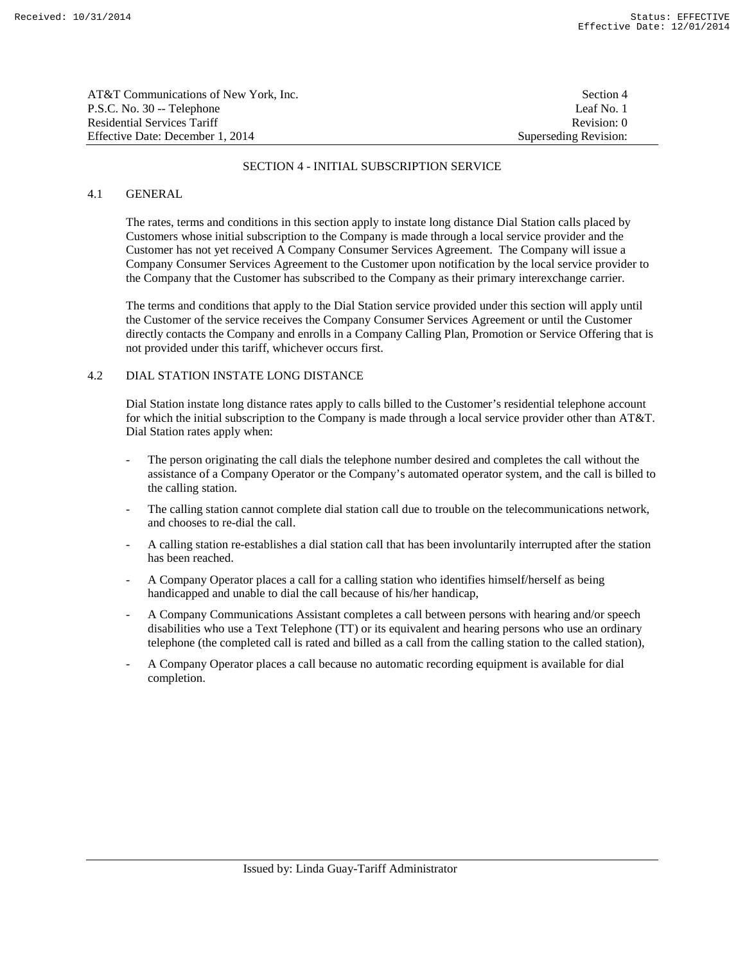| AT&T Communications of New York, Inc. | Section 4             |
|---------------------------------------|-----------------------|
| P.S.C. No. 30 -- Telephone            | Leaf No. 1            |
| Residential Services Tariff           | Revision: 0           |
| Effective Date: December 1, 2014      | Superseding Revision: |

#### SECTION 4 - INITIAL SUBSCRIPTION SERVICE

### 4.1 GENERAL

 The rates, terms and conditions in this section apply to instate long distance Dial Station calls placed by Customers whose initial subscription to the Company is made through a local service provider and the Customer has not yet received A Company Consumer Services Agreement. The Company will issue a Company Consumer Services Agreement to the Customer upon notification by the local service provider to the Company that the Customer has subscribed to the Company as their primary interexchange carrier.

 The terms and conditions that apply to the Dial Station service provided under this section will apply until the Customer of the service receives the Company Consumer Services Agreement or until the Customer directly contacts the Company and enrolls in a Company Calling Plan, Promotion or Service Offering that is not provided under this tariff, whichever occurs first.

## 4.2 DIAL STATION INSTATE LONG DISTANCE

 Dial Station instate long distance rates apply to calls billed to the Customer's residential telephone account for which the initial subscription to the Company is made through a local service provider other than AT&T. Dial Station rates apply when:

- The person originating the call dials the telephone number desired and completes the call without the assistance of a Company Operator or the Company's automated operator system, and the call is billed to the calling station.
- The calling station cannot complete dial station call due to trouble on the telecommunications network, and chooses to re-dial the call.
- A calling station re-establishes a dial station call that has been involuntarily interrupted after the station has been reached.
- A Company Operator places a call for a calling station who identifies himself/herself as being handicapped and unable to dial the call because of his/her handicap,
- A Company Communications Assistant completes a call between persons with hearing and/or speech disabilities who use a Text Telephone (TT) or its equivalent and hearing persons who use an ordinary telephone (the completed call is rated and billed as a call from the calling station to the called station),
- A Company Operator places a call because no automatic recording equipment is available for dial completion.